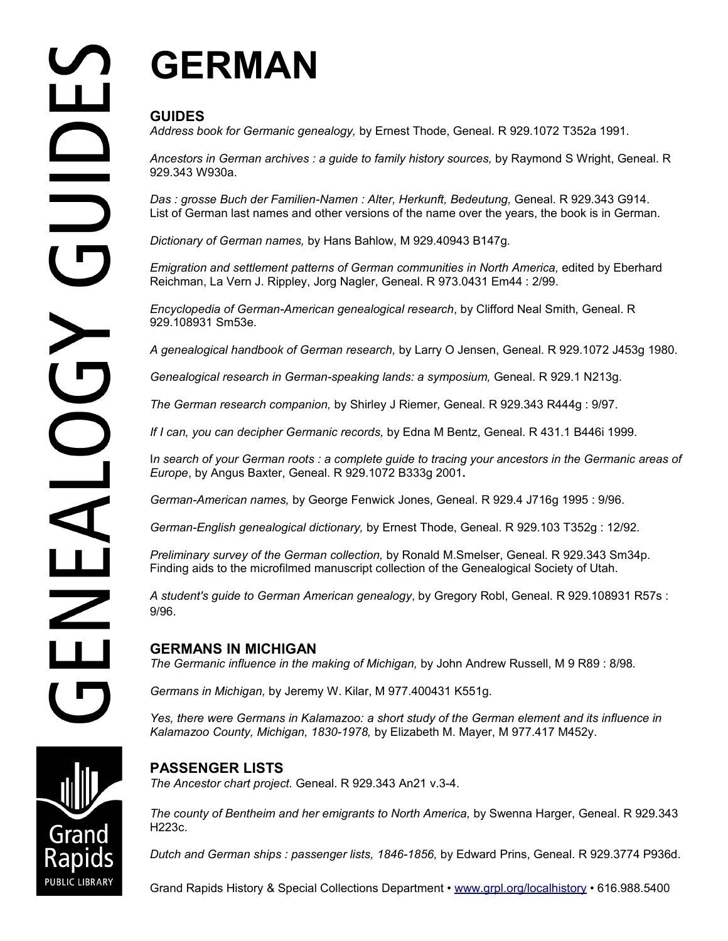# **GERMAN**

## **GUIDES**

*Address book for Germanic genealogy,* by Ernest Thode, Geneal. R 929.1072 T352a 1991.

*Ancestors in German archives : a guide to family history sources,* by Raymond S Wright, Geneal. R 929.343 W930a.

Das : grosse Buch der Familien-Namen : Alter, Herkunft, Bedeutung, Geneal. R 929.343 G914. List of German last names and other versions of the name over the years, the book is in German.

*Dictionary of German names,* by Hans Bahlow, M 929.40943 B147g.

Emigration and settlement patterns of German communities in North America, edited by Eberhard Reichman, La Vern J. Rippley, Jorg Nagler, Geneal. R 973.0431 Em44 : 2/99.

*Encyclopedia of German-American genealogical research*, by Clifford Neal Smith, Geneal. R 929.108931 Sm53e.

*A genealogical handbook of German research,* by Larry O Jensen, Geneal. R 929.1072 J453g 1980.

*Genealogical research in German-speaking lands: a symposium,* Geneal. R 929.1 N213g.

*The German research companion,* by Shirley J Riemer*,* Geneal. R 929.343 R444g : 9/97.

*If I can, you can decipher Germanic records,* by Edna M Bentz, Geneal. R 431.1 B446i 1999.

I*n search of your German roots : a complete guide to tracing your ancestors in the Germanic areas of Europe*, by Angus Baxter, Geneal. R 929.1072 B333g 2001**.**

*German-American names,* by George Fenwick Jones, Geneal. R 929.4 J716g 1995 : 9/96.

*German-English genealogical dictionary,* by Ernest Thode, Geneal. R 929.103 T352g : 12/92*.* 

*Preliminary survey of the German collection,* by Ronald M.Smelser, Geneal. R 929.343 Sm34p. Finding aids to the microfilmed manuscript collection of the Genealogical Society of Utah.

*A student's guide to German American genealogy*, by Gregory Robl, Geneal. R 929.108931 R57s : 9/96.

### **GERMANS IN MICHIGAN**

*The Germanic influence in the making of Michigan,* by John Andrew Russell, M 9 R89 : 8/98*.*

*Germans in Michigan,* by Jeremy W. Kilar, M 977.400431 K551g.

*Yes, there were Germans in Kalamazoo: a short study of the German element and its influence in Kalamazoo County, Michigan, 1830-1978,* by Elizabeth M. Mayer, M 977.417 M452y.

## **PASSENGER LISTS**

*The Ancestor chart project.* Geneal. R 929.343 An21 v.3-4.

*The county of Bentheim and her emigrants to North America,* by Swenna Harger, Geneal. R 929.343 H223c.

*Dutch and German ships : passenger lists, 1846-1856,* by Edward Prins, Geneal. R 929.3774 P936d.

Grand Rapids History & Special Collections Department • [www.grpl.org/localhistory](http://www.grpl.org/localhistory) • 616.988.5400

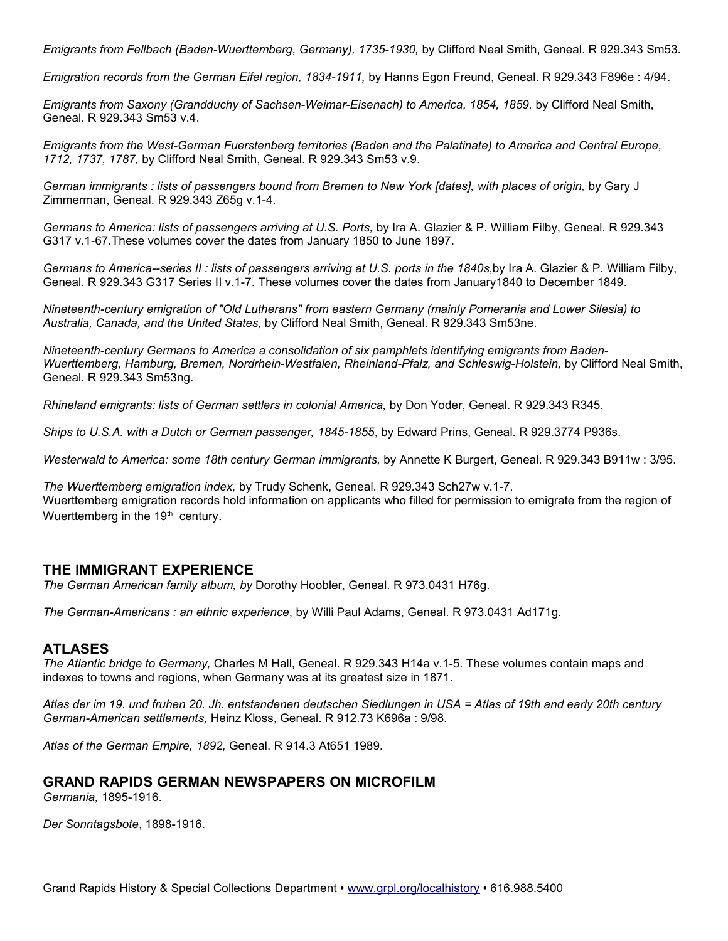*Emigrants from Fellbach (Baden-Wuerttemberg, Germany), 1735-1930,* by Clifford Neal Smith, Geneal. R 929.343 Sm53.

*Emigration records from the German Eifel region, 1834-1911, by Hanns Egon Freund, Geneal. R 929.343 F896e: 4/94.* 

*Emigrants from Saxony (Grandduchy of Sachsen-Weimar-Eisenach) to America, 1854, 1859,* by Clifford Neal Smith, Geneal. R 929.343 Sm53 v.4.

*Emigrants from the West-German Fuerstenberg territories (Baden and the Palatinate) to America and Central Europe, 1712, 1737, 1787,* by Clifford Neal Smith, Geneal. R 929.343 Sm53 v.9.

*German immigrants : lists of passengers bound from Bremen to New York [dates], with places of origin,* by Gary J Zimmerman, Geneal. R 929.343 Z65g v.1-4.

Germans to America: lists of passengers arriving at U.S. Ports, by Ira A. Glazier & P. William Filby, Geneal. R 929.343 G317 v.1-67*.*These volumes cover the dates from January 1850 to June 1897.

*Germans to America--series II : lists of passengers arriving at U.S. ports in the 1840s*,by Ira A. Glazier & P. William Filby, Geneal. R 929.343 G317 Series II v.1-7. These volumes cover the dates from January1840 to December 1849.

*Nineteenth-century emigration of "Old Lutherans" from eastern Germany (mainly Pomerania and Lower Silesia) to Australia, Canada, and the United States,* by Clifford Neal Smith, Geneal. R 929.343 Sm53ne.

*Nineteenth-century Germans to America a consolidation of six pamphlets identifying emigrants from Baden-*Wuerttemberg, Hamburg, Bremen, Nordrhein-Westfalen, Rheinland-Pfalz, and Schleswig-Holstein, by Clifford Neal Smith, Geneal. R 929.343 Sm53ng.

*Rhineland emigrants: lists of German settlers in colonial America,* by Don Yoder, Geneal. R 929.343 R345.

*Ships to U.S.A. with a Dutch or German passenger, 1845-1855*, by Edward Prins, Geneal. R 929.3774 P936s.

*Westerwald to America: some 18th century German immigrants,* by Annette K Burgert, Geneal. R 929.343 B911w : 3/95.

*The Wuerttemberg emigration index,* by Trudy Schenk, Geneal. R 929.343 Sch27w v.1-7. Wuerttemberg emigration records hold information on applicants who filled for permission to emigrate from the region of Wuerttemberg in the  $19<sup>th</sup>$  century.

#### **THE IMMIGRANT EXPERIENCE**

*The German American family album, by* Dorothy Hoobler, Geneal. R 973.0431 H76g.

*The German-Americans : an ethnic experience*, by Willi Paul Adams, Geneal. R 973.0431 Ad171g.

#### **ATLASES**

*The Atlantic bridge to Germany,* Charles M Hall, Geneal. R 929.343 H14a v.1-5. These volumes contain maps and indexes to towns and regions, when Germany was at its greatest size in 1871.

*Atlas der im 19. und fruhen 20. Jh. entstandenen deutschen Siedlungen in USA = Atlas of 19th and early 20th century German-American settlements,* Heinz Kloss, Geneal. R 912.73 K696a : 9/98.

*Atlas of the German Empire, 1892,* Geneal. R 914.3 At651 1989.

#### **GRAND RAPIDS GERMAN NEWSPAPERS ON MICROFILM**

*Germania,* 1895-1916.

*Der Sonntagsbote*, 1898-1916.